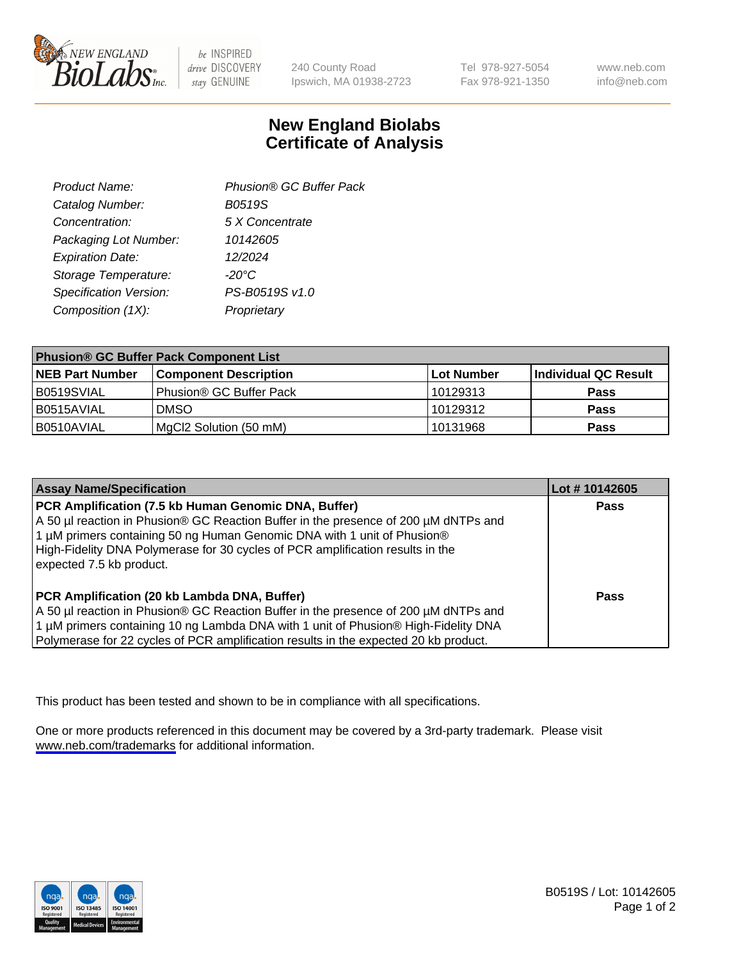

be INSPIRED drive DISCOVERY stay GENUINE

240 County Road Ipswich, MA 01938-2723 Tel 978-927-5054 Fax 978-921-1350

www.neb.com info@neb.com

## **New England Biolabs Certificate of Analysis**

| Product Name:           | Phusion® GC Buffer Pack |
|-------------------------|-------------------------|
| Catalog Number:         | B0519S                  |
| Concentration:          | 5 X Concentrate         |
| Packaging Lot Number:   | 10142605                |
| <b>Expiration Date:</b> | 12/2024                 |
| Storage Temperature:    | $-20^{\circ}$ C         |
| Specification Version:  | PS-B0519S v1.0          |
| Composition (1X):       | Proprietary             |
|                         |                         |

| <b>Phusion® GC Buffer Pack Component List</b> |                                     |            |                      |  |
|-----------------------------------------------|-------------------------------------|------------|----------------------|--|
| <b>NEB Part Number</b>                        | <b>Component Description</b>        | Lot Number | Individual QC Result |  |
| B0519SVIAL                                    | Phusion <sup>®</sup> GC Buffer Pack | 10129313   | <b>Pass</b>          |  |
| I B0515AVIAL                                  | <b>DMSO</b>                         | 10129312   | <b>Pass</b>          |  |
| I B0510AVIAL                                  | (MgCl2 Solution (50 mM)             | 10131968   | <b>Pass</b>          |  |

| <b>Assay Name/Specification</b>                                                                                                                                                                                                                                                                                                      | Lot #10142605 |
|--------------------------------------------------------------------------------------------------------------------------------------------------------------------------------------------------------------------------------------------------------------------------------------------------------------------------------------|---------------|
| PCR Amplification (7.5 kb Human Genomic DNA, Buffer)<br>A 50 µl reaction in Phusion® GC Reaction Buffer in the presence of 200 µM dNTPs and<br>1 μM primers containing 50 ng Human Genomic DNA with 1 unit of Phusion®<br>High-Fidelity DNA Polymerase for 30 cycles of PCR amplification results in the<br>expected 7.5 kb product. | <b>Pass</b>   |
| PCR Amplification (20 kb Lambda DNA, Buffer)<br>A 50 µl reaction in Phusion® GC Reaction Buffer in the presence of 200 µM dNTPs and<br>1 μM primers containing 10 ng Lambda DNA with 1 unit of Phusion® High-Fidelity DNA<br>Polymerase for 22 cycles of PCR amplification results in the expected 20 kb product.                    | Pass          |

This product has been tested and shown to be in compliance with all specifications.

One or more products referenced in this document may be covered by a 3rd-party trademark. Please visit <www.neb.com/trademarks>for additional information.